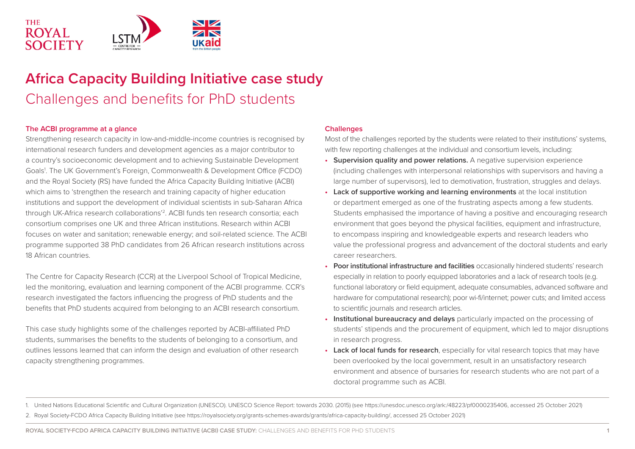

# **Africa Capacity Building Initiative case study**  Challenges and benefits for PhD students

### **The ACBI programme at a glance**

Strengthening research capacity in low-and-middle-income countries is recognised by international research funders and development agencies as a major contributor to a country's socioeconomic development and to achieving Sustainable Development Goals<sup>1</sup>. The UK Government's Foreign, Commonwealth & Development Office (FCDO) and the Royal Society (RS) have funded the Africa Capacity Building Initiative (ACBI) which aims to 'strengthen the research and training capacity of higher education institutions and support the development of individual scientists in sub-Saharan Africa through UK-Africa research collaborations'2. ACBI funds ten research consortia; each consortium comprises one UK and three African institutions. Research within ACBI focuses on water and sanitation; renewable energy; and soil-related science. The ACBI programme supported 38 PhD candidates from 26 African research institutions across 18 African countries.

The Centre for Capacity Research (CCR) at the Liverpool School of Tropical Medicine, led the monitoring, evaluation and learning component of the ACBI programme. CCR's research investigated the factors influencing the progress of PhD students and the benefits that PhD students acquired from belonging to an ACBI research consortium.

This case study highlights some of the challenges reported by ACBI-affiliated PhD students, summarises the benefits to the students of belonging to a consortium, and outlines lessons learned that can inform the design and evaluation of other research capacity strengthening programmes.

## **Challenges**

Most of the challenges reported by the students were related to their institutions' systems, with few reporting challenges at the individual and consortium levels, including:

- **• Supervision quality and power relations.** A negative supervision experience (including challenges with interpersonal relationships with supervisors and having a large number of supervisors), led to demotivation, frustration, struggles and delays.
- **• Lack of supportive working and learning environments** at the local institution or department emerged as one of the frustrating aspects among a few students. Students emphasised the importance of having a positive and encouraging research environment that goes beyond the physical facilities, equipment and infrastructure, to encompass inspiring and knowledgeable experts and research leaders who value the professional progress and advancement of the doctoral students and early career researchers.
- **• Poor institutional infrastructure and facilities** occasionally hindered students' research especially in relation to poorly equipped laboratories and a lack of research tools (e.g. functional laboratory or field equipment, adequate consumables, advanced software and hardware for computational research); poor wi-fi/internet; power cuts; and limited access to scientific journals and research articles.
- **• Institutional bureaucracy and delays** particularly impacted on the processing of students' stipends and the procurement of equipment, which led to major disruptions in research progress.
- **• Lack of local funds for research**, especially for vital research topics that may have been overlooked by the local government, result in an unsatisfactory research environment and absence of bursaries for research students who are not part of a doctoral programme such as ACBI.

1. United Nations Educational Scientific and Cultural Organization (UNESCO). UNESCO Science Report: towards 2030. (2015) (see https://unesdoc.unesco.org/ark:/48223/pf0000235406, accessed 25 October 2021) 2. Royal Society-FCDO Africa Capacity Building Initiative (see https://royalsociety.org/grants-schemes-awards/grants/africa-capacity-building/, accessed 25 October 2021)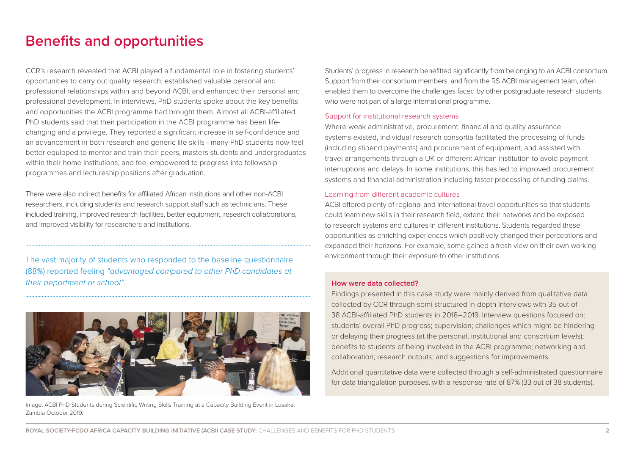## **Benefits and opportunities**

CCR's research revealed that ACBI played a fundamental role in fostering students' opportunities to carry out quality research; established valuable personal and professional relationships within and beyond ACBI; and enhanced their personal and professional development. In interviews, PhD students spoke about the key benefits and opportunities the ACBI programme had brought them. Almost all ACBI-affiliated PhD students said that their participation in the ACBI programme has been lifechanging and a privilege. They reported a significant increase in self-confidence and an advancement in both research and generic life skills - many PhD students now feel better equipped to mentor and train their peers, masters students and undergraduates within their home institutions, and feel empowered to progress into fellowship programmes and lectureship positions after graduation.

There were also indirect benefits for affiliated African institutions and other non-ACBI researchers, including students and research support staff such as technicians. These included training, improved research facilities, better equipment, research collaborations, and improved visibility for researchers and institutions.

 The vast majority of students who responded to the baseline questionnaire (88%) reported feeling *"advantaged compared to other PhD candidates at their department or school"*.



Image: ACBI PhD Students during Scientific Writing Skills Training at a Capacity Building Event in Lusaka, Zambia October 2019.

Students' progress in research benefitted significantly from belonging to an ACBI consortium. Support from their consortium members, and from the RS ACBI management team, often enabled them to overcome the challenges faced by other postgraduate research students who were not part of a large international programme.

#### Support for institutional research systems

Where weak administrative, procurement, financial and quality assurance systems existed, individual research consortia facilitated the processing of funds (including stipend payments) and procurement of equipment, and assisted with travel arrangements through a UK or different African institution to avoid payment interruptions and delays. In some institutions, this has led to improved procurement systems and financial administration including faster processing of funding claims.

#### Learning from different academic cultures

ACBI offered plenty of regional and international travel opportunities so that students could learn new skills in their research field, extend their networks and be exposed to research systems and cultures in different institutions. Students regarded these opportunities as enriching experiences which positively changed their perceptions and expanded their horizons. For example, some gained a fresh view on their own working environment through their exposure to other institutions.

#### **How were data collected?**

Findings presented in this case study were mainly derived from qualitative data collected by CCR through semi-structured in-depth interviews with 35 out of 38 ACBI-affiliated PhD students in 2018–2019. Interview questions focused on: students' overall PhD progress; supervision; challenges which might be hindering or delaying their progress (at the personal, institutional and consortium levels); benefits to students of being involved in the ACBI programme; networking and collaboration; research outputs; and suggestions for improvements.

Additional quantitative data were collected through a self-administrated questionnaire for data triangulation purposes, with a response rate of 87% (33 out of 38 students).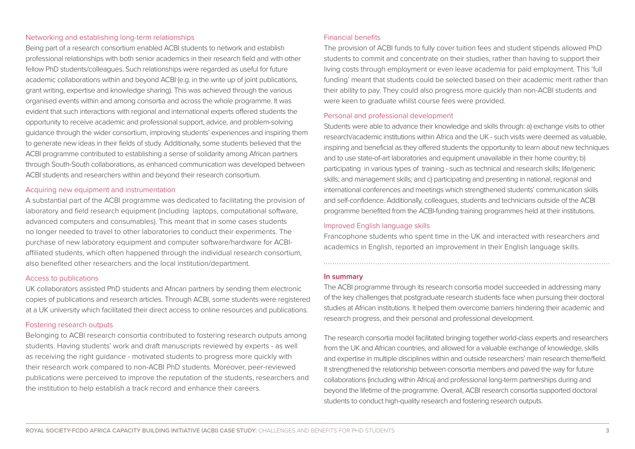#### Networking and establishing long-term relationships

Being part of a research consortium enabled ACBI students to network and establish professional relationships with both senior academics in their research field and with other fellow PhD students/colleagues. Such relationships were regarded as useful for future academic collaborations within and beyond ACBI (e.g. in the write up of joint publications, grant writing, expertise and knowledge sharing). This was achieved through the various organised events within and among consortia and across the whole programme. It was evident that such interactions with regional and international experts offered students the opportunity to receive academic and professional support, advice, and problem-solving guidance through the wider consortium, improving students' experiences and inspiring them to generate new ideas in their fields of study. Additionally, some students believed that the ACBI programme contributed to establishing a sense of solidarity among African partners through South-South collaborations, as enhanced communication was developed between ACBI students and researchers within and beyond their research consortium.

#### Acquiring new equipment and instrumentation

A substantial part of the ACBI programme was dedicated to facilitating the provision of laboratory and field research equipment (including laptops, computational software, advanced computers and consumables). This meant that in some cases students no longer needed to travel to other laboratories to conduct their experiments. The purchase of new laboratory equipment and computer software/hardware for ACBIaffiliated students, which often happened through the individual research consortium, also benefited other researchers and the local institution/department.

#### Access to publications

UK collaborators assisted PhD students and African partners by sending them electronic copies of publications and research articles. Through ACBI, some students were registered at a UK university which facilitated their direct access to online resources and publications.

#### Fostering research outputs

Belonging to ACBI research consortia contributed to fostering research outputs among students. Having students' work and draft manuscripts reviewed by experts - as well as receiving the right guidance - motivated students to progress more quickly with their research work compared to non-ACBI PhD students. Moreover, peer-reviewed publications were perceived to improve the reputation of the students, researchers and the institution to help establish a track record and enhance their careers.

#### Financial benefits

The provision of ACBI funds to fully cover tuition fees and student stipends allowed PhD students to commit and concentrate on their studies, rather than having to support their living costs through employment or even leave academia for paid employment. This 'full funding' meant that students could be selected based on their academic merit rather than their ability to pay. They could also progress more quickly than non-ACBI students and were keen to graduate whilst course fees were provided.

#### Personal and professional development

Students were able to advance their knowledge and skills through: a) exchange visits to other research/academic institutions within Africa and the UK - such visits were deemed as valuable, inspiring and beneficial as they offered students the opportunity to learn about new techniques and to use state-of-art laboratories and equipment unavailable in their home country; b) participating in various types of training - such as technical and research skills; life/generic skills; and management skills; and c) participating and presenting in national, regional and international conferences and meetings which strengthened students' communication skills and self-confidence. Additionally, colleagues, students and technicians outside of the ACBI programme benefited from the ACBI-funding training programmes held at their institutions.

#### Improved English language skills

Francophone students who spent time in the UK and interacted with researchers and academics in English, reported an improvement in their English language skills.

#### **In summary**

The ACBI programme through its research consortia model succeeded in addressing many of the key challenges that postgraduate research students face when pursuing their doctoral studies at African institutions. It helped them overcome barriers hindering their academic and research progress, and their personal and professional development.

The research consortia model facilitated bringing together world-class experts and researchers from the UK and African countries, and allowed for a valuable exchange of knowledge, skills and expertise in multiple disciplines within and outside researchers' main research theme/field. It strengthened the relationship between consortia members and paved the way for future collaborations (including within Africa) and professional long-term partnerships during and beyond the lifetime of the programme. Overall, ACBI research consortia supported doctoral students to conduct high-quality research and fostering research outputs.